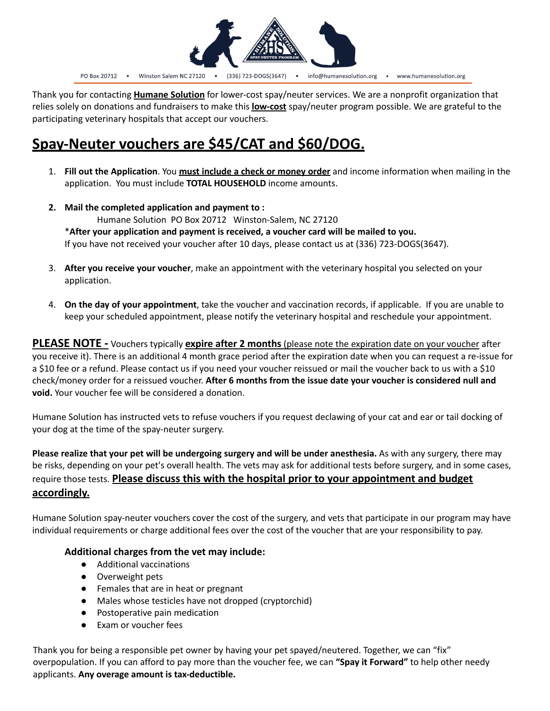

Thank you for contacting **Humane Solution** for lower-cost spay/neuter services. We are a nonprofit organization that relies solely on donations and fundraisers to make this **low-cost** spay/neuter program possible. We are grateful to the participating veterinary hospitals that accept our vouchers.

# **Spay-Neuter vouchers are \$45/CAT and \$60/DOG.**

- 1. **Fill out the Application**. You **must include a check or money order** and income information when mailing in the application. You must include **TOTAL HOUSEHOLD** income amounts.
- **2. Mail the completed application and payment to :** Humane Solution PO Box 20712 Winston-Salem, NC 27120 \***After your application and payment is received, a voucher card will be mailed to you.** If you have not received your voucher after 10 days, please contact us at (336) 723-DOGS(3647).
- 3. **After you receive your voucher**, make an appointment with the veterinary hospital you selected on your application.
- 4. **On the day of your appointment**, take the voucher and vaccination records, if applicable. If you are unable to keep your scheduled appointment, please notify the veterinary hospital and reschedule your appointment.

**PLEASE NOTE -** Vouchers typically **expire after 2 months** (please note the expiration date on your voucher after you receive it). There is an additional 4 month grace period after the expiration date when you can request a re-issue for a \$10 fee or a refund. Please contact us if you need your voucher reissued or mail the voucher back to us with a \$10 check/money order for a reissued voucher. **After 6 months from the issue date your voucher is considered null and void.** Your voucher fee will be considered a donation.

Humane Solution has instructed vets to refuse vouchers if you request declawing of your cat and ear or tail docking of your dog at the time of the spay-neuter surgery.

**Please realize that your pet will be undergoing surgery and will be under anesthesia.** As with any surgery, there may be risks, depending on your pet's overall health. The vets may ask for additional tests before surgery, and in some cases, require those tests. **Please discuss this with the hospital prior to your appointment and budget accordingly.**

Humane Solution spay-neuter vouchers cover the cost of the surgery, and vets that participate in our program may have individual requirements or charge additional fees over the cost of the voucher that are your responsibility to pay.

## **Additional charges from the vet may include:**

- Additional vaccinations
- Overweight pets
- Females that are in heat or pregnant
- Males whose testicles have not dropped (cryptorchid)
- Postoperative pain medication
- Exam or voucher fees

Thank you for being a responsible pet owner by having your pet spayed/neutered. Together, we can "fix" overpopulation. If you can afford to pay more than the voucher fee, we can **"Spay it Forward"** to help other needy applicants. **Any overage amount is tax-deductible.**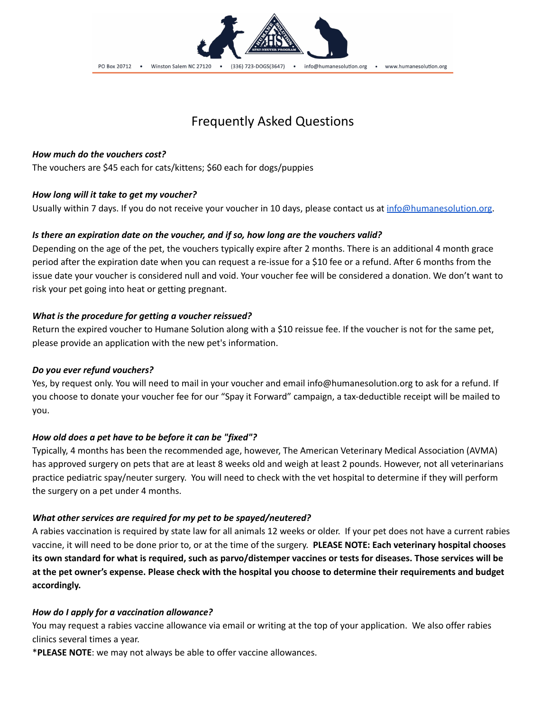

## Frequently Asked Questions

## *How much do the vouchers cost?*

The vouchers are \$45 each for cats/kittens; \$60 each for dogs/puppies

## *How long will it take to get my voucher?*

Usually within 7 days. If you do not receive your voucher in 10 days, please contact us at [info@humanesolution.org](mailto:info@humanesolution.org).

## *Is there an expiration date on the voucher, and if so, how long are the vouchers valid?*

Depending on the age of the pet, the vouchers typically expire after 2 months. There is an additional 4 month grace period after the expiration date when you can request a re-issue for a \$10 fee or a refund. After 6 months from the issue date your voucher is considered null and void. Your voucher fee will be considered a donation. We don't want to risk your pet going into heat or getting pregnant.

## *What is the procedure for getting a voucher reissued?*

Return the expired voucher to Humane Solution along with a \$10 reissue fee. If the voucher is not for the same pet, please provide an application with the new pet's information.

#### *Do you ever refund vouchers?*

Yes, by request only. You will need to mail in your voucher and email info@humanesolution.org to ask for a refund. If you choose to donate your voucher fee for our "Spay it Forward" campaign, a tax-deductible receipt will be mailed to you.

## *How old does a pet have to be before it can be "fixed"?*

Typically, 4 months has been the recommended age, however, The American Veterinary Medical Association (AVMA) has approved surgery on pets that are at least 8 weeks old and weigh at least 2 pounds. However, not all veterinarians practice pediatric spay/neuter surgery. You will need to check with the vet hospital to determine if they will perform the surgery on a pet under 4 months.

#### *What other services are required for my pet to be spayed/neutered?*

A rabies vaccination is required by state law for all animals 12 weeks or older. If your pet does not have a current rabies vaccine, it will need to be done prior to, or at the time of the surgery. **PLEASE NOTE: Each veterinary hospital chooses** its own standard for what is required, such as parvo/distemper vaccines or tests for diseases. Those services will be at the pet owner's expense. Please check with the hospital you choose to determine their requirements and budget **accordingly.**

## *How do I apply for a vaccination allowance?*

You may request a rabies vaccine allowance via email or writing at the top of your application. We also offer rabies clinics several times a year.

\***PLEASE NOTE**: we may not always be able to offer vaccine allowances.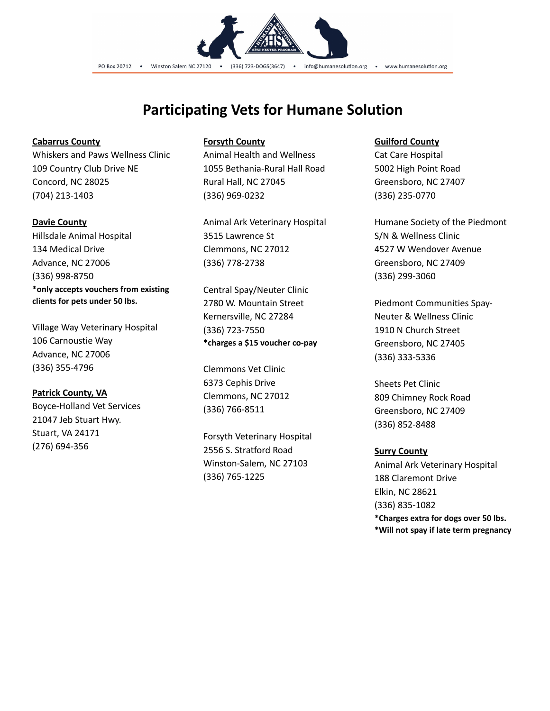

## **Participating Vets for Humane Solution**

#### **Cabarrus County**

Whiskers and Paws Wellness Clinic 109 Country Club Drive NE Concord, NC 28025 (704) 213-1403

#### **Davie County**

Hillsdale Animal Hospital 134 Medical Drive Advance, NC 27006 (336) 998-8750 **\*only accepts vouchers from existing clients for pets under 50 lbs.**

Village Way Veterinary Hospital 106 Carnoustie Way Advance, NC 27006 (336) 355-4796

## **Patrick County, VA**

Boyce-Holland Vet Services 21047 Jeb Stuart Hwy. Stuart, VA 24171 (276) 694-356

#### **Forsyth County**

Animal Health and Wellness 1055 Bethania-Rural Hall Road Rural Hall, NC 27045 (336) 969-0232

Animal Ark Veterinary Hospital 3515 Lawrence St Clemmons, NC 27012 (336) 778-2738

Central Spay/Neuter Clinic 2780 W. Mountain Street Kernersville, NC 27284 (336) 723-7550 **\*charges a \$15 voucher co-pay**

Clemmons Vet Clinic 6373 Cephis Drive Clemmons, NC 27012 (336) 766-8511

Forsyth Veterinary Hospital 2556 S. Stratford Road Winston-Salem, NC 27103 (336) 765-1225

#### **Guilford County**

Cat Care Hospital 5002 High Point Road Greensboro, NC 27407 (336) 235-0770

Humane Society of the Piedmont S/N & Wellness Clinic 4527 W Wendover Avenue Greensboro, NC 27409 (336) 299-3060

Piedmont Communities Spay-Neuter & Wellness Clinic 1910 N Church Street Greensboro, NC 27405 (336) 333-5336

Sheets Pet Clinic 809 Chimney Rock Road Greensboro, NC 27409 (336) 852-8488

#### **Surry County**

Animal Ark Veterinary Hospital 188 Claremont Drive Elkin, NC 28621 (336) 835-1082 **\*Charges extra for dogs over 50 lbs. \*Will not spay if late term pregnancy**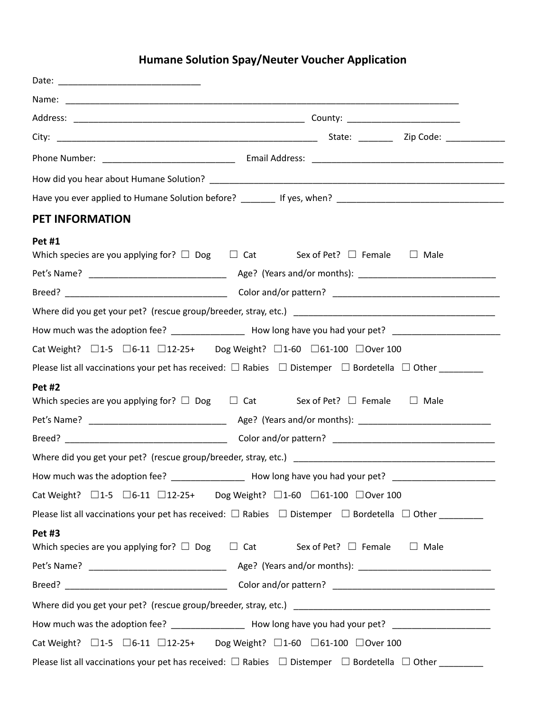## **Humane Solution Spay/Neuter Voucher Application**

| <b>PET INFORMATION</b>                                                                       |                                                                                                                               |
|----------------------------------------------------------------------------------------------|-------------------------------------------------------------------------------------------------------------------------------|
| Pet #1                                                                                       |                                                                                                                               |
|                                                                                              | Which species are you applying for? $\square$ Dog $\square$ Cat Sex of Pet? $\square$ Female $\square$ Male                   |
|                                                                                              |                                                                                                                               |
|                                                                                              |                                                                                                                               |
|                                                                                              |                                                                                                                               |
|                                                                                              | How much was the adoption fee? ___________________ How long have you had your pet? _______________________                    |
| Cat Weight? □1-5 □6-11 □12-25+ Dog Weight? □1-60 □61-100 □Over 100                           |                                                                                                                               |
|                                                                                              | Please list all vaccinations your pet has received: $\square$ Rabies $\square$ Distemper $\square$ Bordetella $\square$ Other |
| <b>Pet #2</b>                                                                                |                                                                                                                               |
|                                                                                              | Which species are you applying for? $\square$ Dog $\square$ Cat Sex of Pet? $\square$ Female<br>$\Box$ Male                   |
|                                                                                              |                                                                                                                               |
|                                                                                              |                                                                                                                               |
|                                                                                              |                                                                                                                               |
| How much was the adoption fee?                                                               | How long have you had your pet?                                                                                               |
| Cat Weight? □1-5 □6-11 □12-25+ Dog Weight? □1-60 □61-100 □Over 100                           |                                                                                                                               |
|                                                                                              | Please list all vaccinations your pet has received: $\square$ Rabies $\square$ Distemper $\square$ Bordetella $\square$ Other |
| <b>Pet #3</b>                                                                                |                                                                                                                               |
| Which species are you applying for? $\square$ Dog $\square$ Cat Sex of Pet? $\square$ Female | $\Box$ Male                                                                                                                   |
|                                                                                              |                                                                                                                               |
|                                                                                              |                                                                                                                               |
|                                                                                              |                                                                                                                               |
|                                                                                              | How much was the adoption fee? ___________________ How long have you had your pet? _______________________                    |
| Cat Weight? □1-5 □6-11 □12-25+ Dog Weight? □1-60 □61-100 □Over 100                           |                                                                                                                               |
|                                                                                              | Please list all vaccinations your pet has received: $\Box$ Rabies $\Box$ Distemper $\Box$ Bordetella $\Box$ Other ______      |